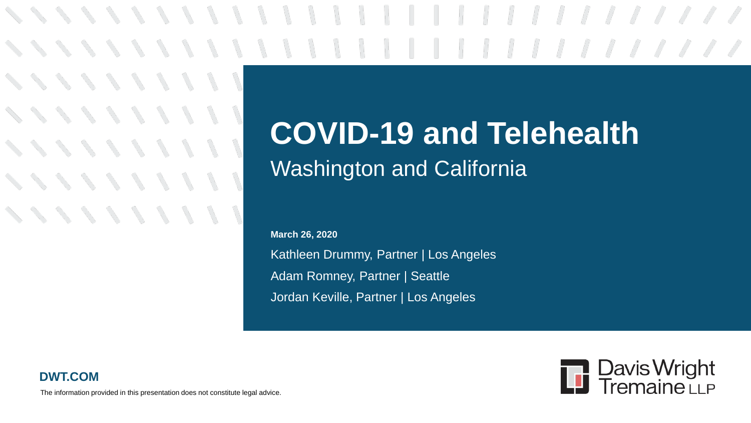\\\\\\\\\\\\||||*||||||||||||* 

## **COVID-19 and Telehealth** Washington and California

Kathleen Drummy, Partner | Los Angeles Adam Romney, Partner | Seattle Jordan Keville, Partner | Los Angeles **March 26, 2020**





The information provided in this presentation does not constitute legal advice.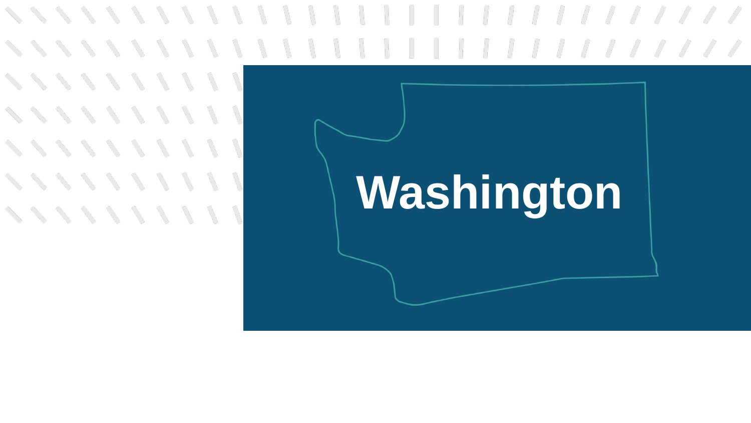# **ベベ ベ メ メ メ メ メ ノ** ベンシンプリ インファン スプリー ベンシン・メント

# **Washington**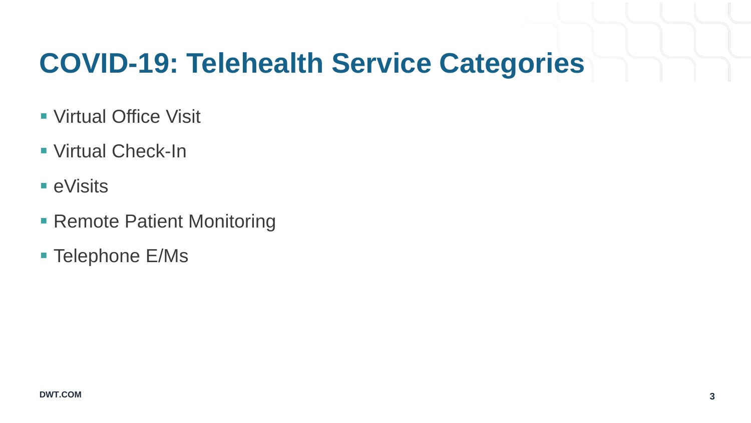### **COVID-19: Telehealth Service Categories**

- Virtual Office Visit
- Virtual Check-In
- eVisits
- **Remote Patient Monitoring**
- Telephone E/Ms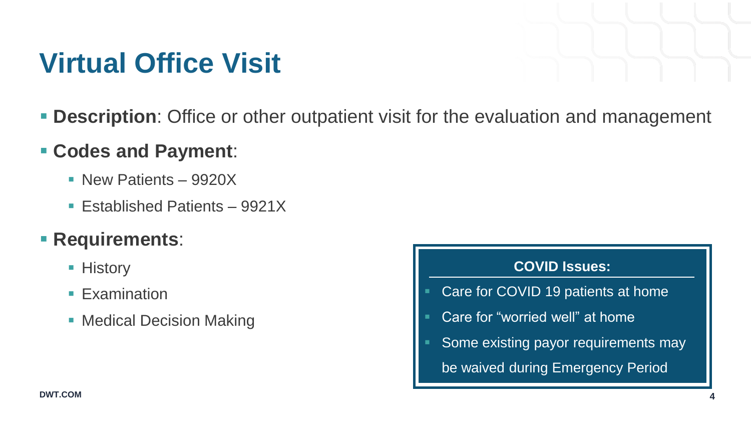## **Virtual Office Visit**

**Description**: Office or other outpatient visit for the evaluation and management

#### **Codes and Payment**:

- New Patients 9920X
- Established Patients 9921X

#### **Requirements**:

- History
- **Examination**
- **Medical Decision Making**

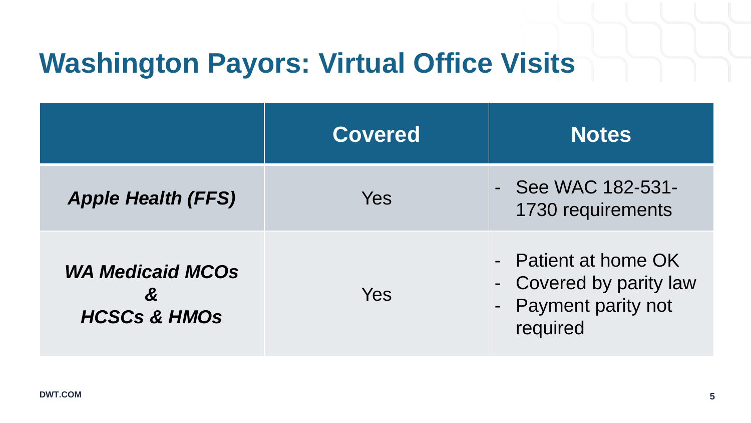### **Washington Payors: Virtual Office Visits**

|                                                                             | <b>Covered</b> | <b>Notes</b>                                                                        |
|-----------------------------------------------------------------------------|----------------|-------------------------------------------------------------------------------------|
| <b>Apple Health (FFS)</b>                                                   | Yes            | - See WAC 182-531-<br>1730 requirements                                             |
| <b>WA Medicaid MCOs</b><br>$\boldsymbol{\alpha}$<br><b>HCSCs &amp; HMOS</b> | Yes            | - Patient at home OK<br>- Covered by parity law<br>- Payment parity not<br>required |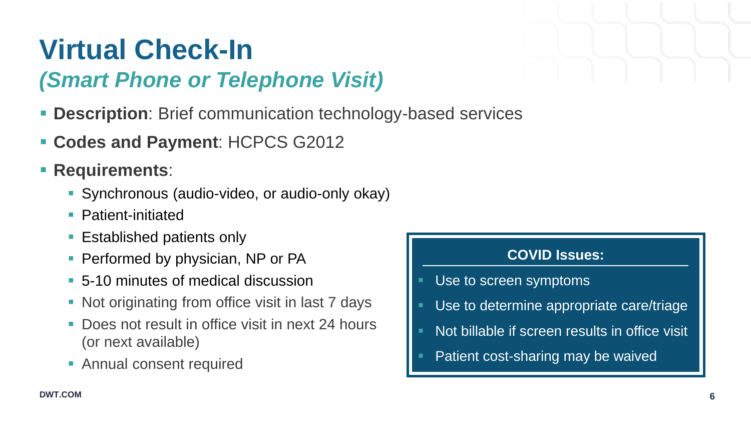## **Virtual Check-In**

### *(Smart Phone or Telephone Visit)*

- **Description**: Brief communication technology-based services
- **Codes and Payment**: HCPCS G2012
- **Requirements:** 
	- Synchronous (audio-video, or audio-only okay)
	- Patient-initiated
	- **Established patients only**
	- **Performed by physician, NP or PA**
	- 5-10 minutes of medical discussion
	- Not originating from office visit in last 7 days
	- Does not result in office visit in next 24 hours (or next available)
	- **Annual consent required**

#### **COVID Issues:**

- Use to screen symptoms
- Use to determine appropriate care/triage
- Not billable if screen results in office visit
- Patient cost-sharing may be waived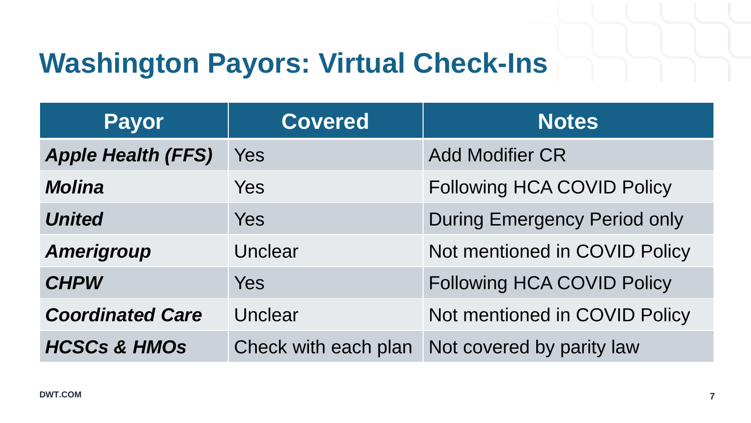## **Washington Payors: Virtual Check-Ins**

| <b>Payor</b>              | <b>Covered</b>       | <b>Notes</b>                        |
|---------------------------|----------------------|-------------------------------------|
| <b>Apple Health (FFS)</b> | Yes                  | <b>Add Modifier CR</b>              |
| <b>Molina</b>             | <b>Yes</b>           | <b>Following HCA COVID Policy</b>   |
| <b>United</b>             | <b>Yes</b>           | <b>During Emergency Period only</b> |
| <b>Amerigroup</b>         | Unclear              | Not mentioned in COVID Policy       |
| <b>CHPW</b>               | <b>Yes</b>           | <b>Following HCA COVID Policy</b>   |
| <b>Coordinated Care</b>   | Unclear              | Not mentioned in COVID Policy       |
| <b>HCSCs &amp; HMOs</b>   | Check with each plan | Not covered by parity law           |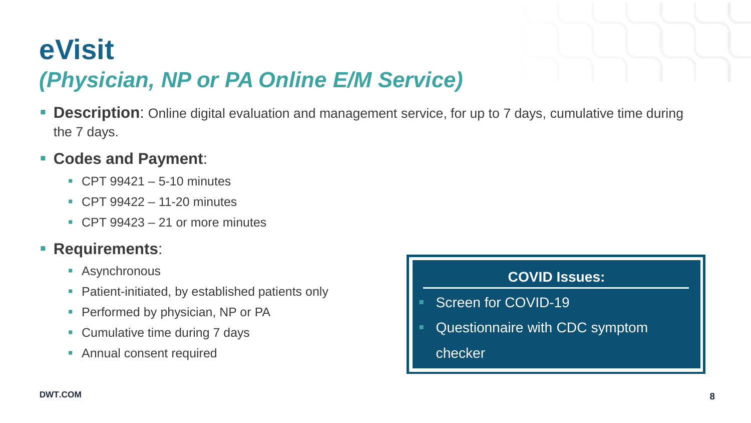### **eVisit**  *(Physician, NP or PA Online E/M Service)*

 **Description**: Online digital evaluation and management service, for up to 7 days, cumulative time during the 7 days.

#### **Codes and Payment**:

- $\overline{CP}$  CPT 99421 5-10 minutes
- CPT 99422 11-20 minutes
- CPT  $99423 21$  or more minutes

#### **Requirements**:

- Asynchronous
- **Patient-initiated, by established patients only**
- **Performed by physician, NP or PA**
- **Cumulative time during 7 days**
- **Annual consent required**

#### **COVID Issues:**

- Screen for COVID-19
- Questionnaire with CDC symptom
	- checker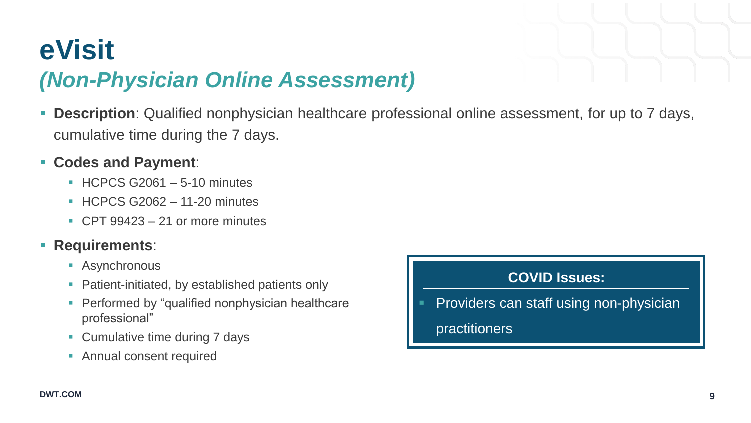### **eVisit**  *(Non-Physician Online Assessment)*

- **Description**: Qualified nonphysician healthcare professional online assessment, for up to 7 days, cumulative time during the 7 days.
- **Codes and Payment**:
	- $\blacksquare$  HCPCS G2061 5-10 minutes
	- $\blacksquare$  HCPCS G2062 11-20 minutes
	- $\overline{CPT 99423} 21$  or more minutes

#### **Requirements**:

- Asynchronous
- Patient-initiated, by established patients only
- **Performed by "qualified nonphysician healthcare"** professional"
- Cumulative time during 7 days
- **Annual consent required**

#### **COVID Issues:**

Providers can staff using non-physician

practitioners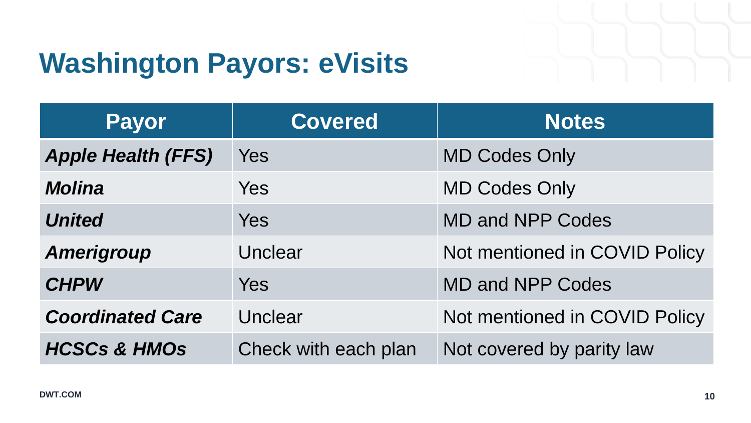## **Washington Payors: eVisits**

| <b>Payor</b>              | Covered              | <b>Notes</b>                  |
|---------------------------|----------------------|-------------------------------|
| <b>Apple Health (FFS)</b> | Yes                  | <b>MD Codes Only</b>          |
| <b>Molina</b>             | <b>Yes</b>           | <b>MD Codes Only</b>          |
| <b>United</b>             | <b>Yes</b>           | <b>MD and NPP Codes</b>       |
| <b>Amerigroup</b>         | Unclear              | Not mentioned in COVID Policy |
| <b>CHPW</b>               | <b>Yes</b>           | <b>MD and NPP Codes</b>       |
| <b>Coordinated Care</b>   | Unclear              | Not mentioned in COVID Policy |
| <b>HCSCs &amp; HMOs</b>   | Check with each plan | Not covered by parity law     |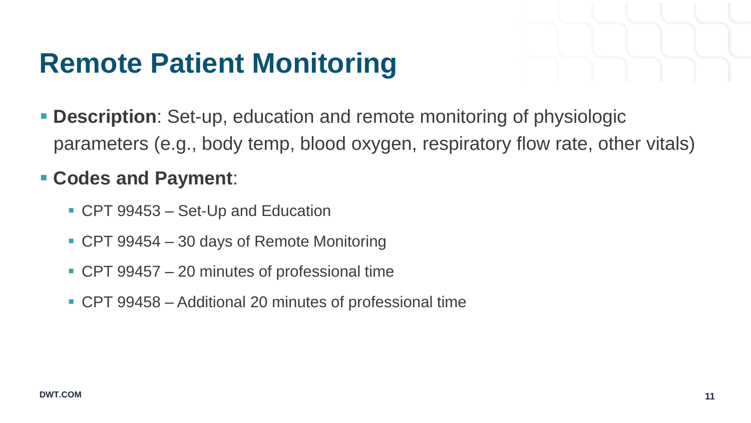## **Remote Patient Monitoring**

 **Description**: Set-up, education and remote monitoring of physiologic parameters (e.g., body temp, blood oxygen, respiratory flow rate, other vitals)

#### **Codes and Payment**:

- CPT 99453 Set-Up and Education
- CPT 99454 30 days of Remote Monitoring
- CPT 99457 20 minutes of professional time
- CPT 99458 Additional 20 minutes of professional time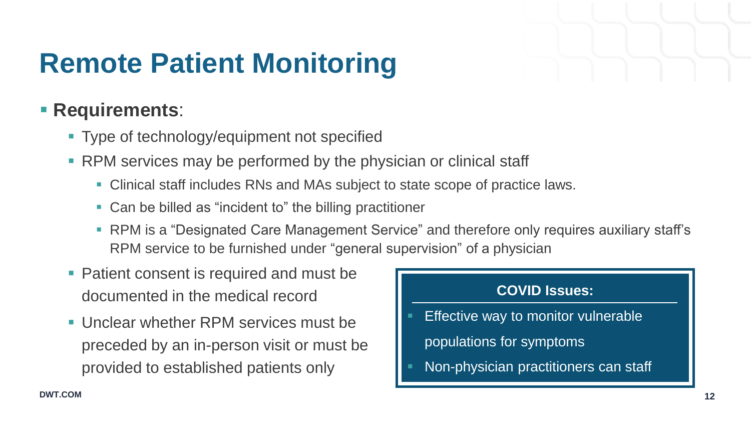## **Remote Patient Monitoring**

#### **Requirements**:

- **Type of technology/equipment not specified**
- **RPM** services may be performed by the physician or clinical staff
	- Clinical staff includes RNs and MAs subject to state scope of practice laws.
	- Can be billed as "incident to" the billing practitioner
	- **RPM is a "Designated Care Management Service" and therefore only requires auxiliary staff's** RPM service to be furnished under "general supervision" of a physician
- **Patient consent is required and must be** documented in the medical record
- **Unclear whether RPM services must be** preceded by an in-person visit or must be provided to established patients only

#### **COVID Issues:**

- Effective way to monitor vulnerable
	- populations for symptoms
- Non-physician practitioners can staff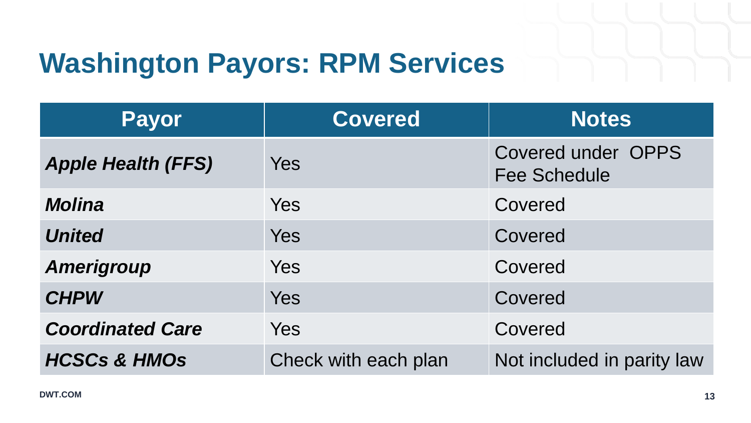## **Washington Payors: RPM Services**

| <b>Payor</b>              | <b>Covered</b>       | <b>Notes</b>                                     |
|---------------------------|----------------------|--------------------------------------------------|
| <b>Apple Health (FFS)</b> | <b>Yes</b>           | <b>Covered under OPPS</b><br><b>Fee Schedule</b> |
| <b>Molina</b>             | <b>Yes</b>           | Covered                                          |
| <b>United</b>             | <b>Yes</b>           | Covered                                          |
| <b>Amerigroup</b>         | <b>Yes</b>           | Covered                                          |
| <b>CHPW</b>               | <b>Yes</b>           | Covered                                          |
| <b>Coordinated Care</b>   | Yes                  | Covered                                          |
| <b>HCSCs &amp; HMOs</b>   | Check with each plan | Not included in parity law                       |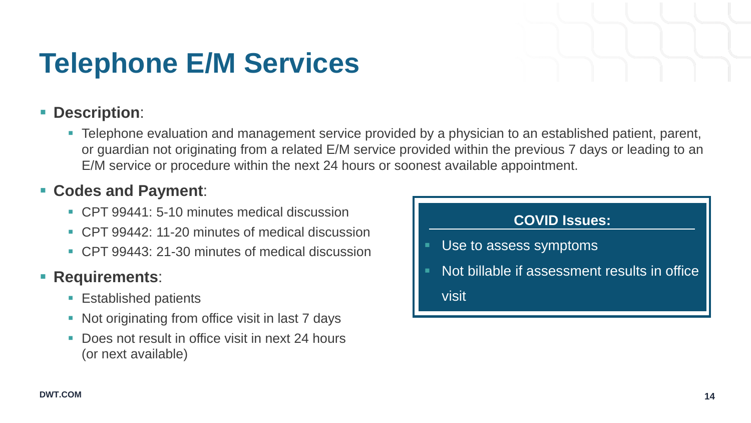## **Telephone E/M Services**

#### **Description**:

**Telephone evaluation and management service provided by a physician to an established patient, parent,** or guardian not originating from a related E/M service provided within the previous 7 days or leading to an E/M service or procedure within the next 24 hours or soonest available appointment.

#### **Codes and Payment**:

- CPT 99441: 5-10 minutes medical discussion
- CPT 99442: 11-20 minutes of medical discussion
- CPT 99443: 21-30 minutes of medical discussion

#### **Requirements:**

- **Established patients**
- Not originating from office visit in last 7 days
- Does not result in office visit in next 24 hours (or next available)

#### **COVID Issues:**

- Use to assess symptoms
- Not billable if assessment results in office visit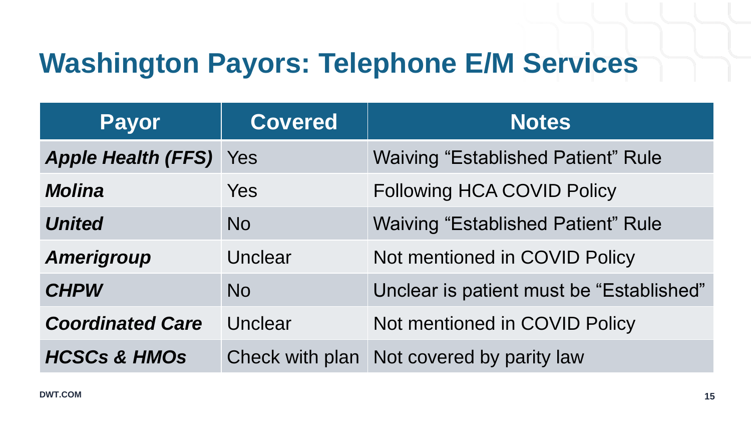## **Washington Payors: Telephone E/M Services**

| <b>Payor</b>                  | <b>Covered</b> | <b>Notes</b>                              |
|-------------------------------|----------------|-------------------------------------------|
| <b>Apple Health (FFS)</b> Yes |                | <b>Waiving "Established Patient" Rule</b> |
| <b>Molina</b>                 | Yes            | <b>Following HCA COVID Policy</b>         |
| <b>United</b>                 | <b>No</b>      | <b>Waiving "Established Patient" Rule</b> |
| <b>Amerigroup</b>             | Unclear        | Not mentioned in COVID Policy             |
| <b>CHPW</b>                   | <b>No</b>      | Unclear is patient must be "Established"  |
| <b>Coordinated Care</b>       | Unclear        | Not mentioned in COVID Policy             |
| <b>HCSCs &amp; HMOs</b>       |                | Check with plan Not covered by parity law |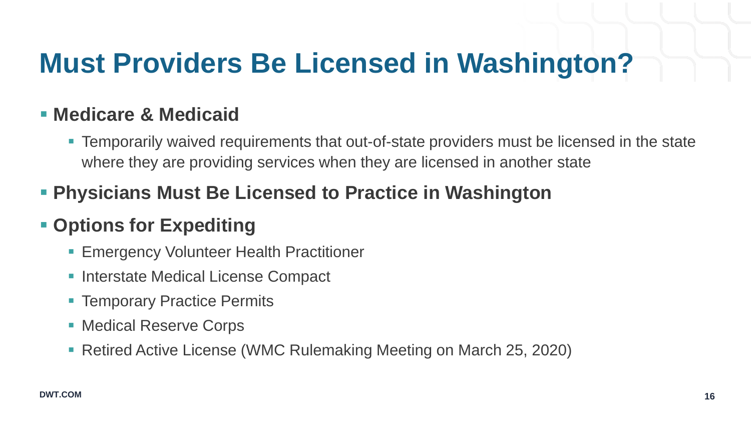## **Must Providers Be Licensed in Washington?**

#### **Medicare & Medicaid**

 Temporarily waived requirements that out-of-state providers must be licensed in the state where they are providing services when they are licensed in another state

#### **Physicians Must Be Licensed to Practice in Washington**

#### **- Options for Expediting**

- Emergency Volunteer Health Practitioner
- Interstate Medical License Compact
- Temporary Practice Permits
- Medical Reserve Corps
- Retired Active License (WMC Rulemaking Meeting on March 25, 2020)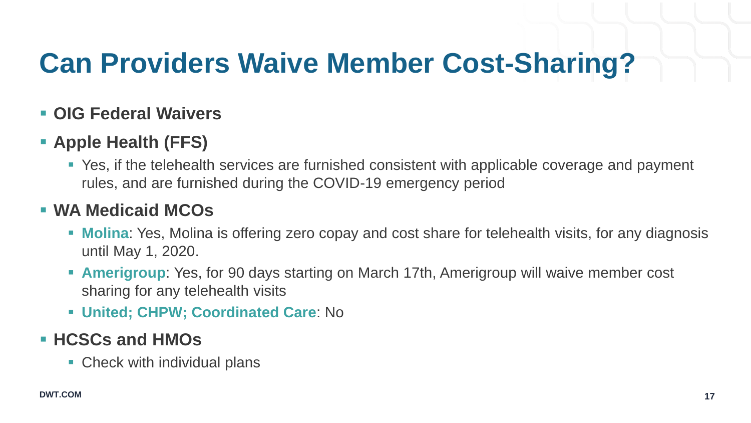## **Can Providers Waive Member Cost-Sharing?**

#### **OIG Federal Waivers**

#### **Apple Health (FFS)**

 Yes, if the telehealth services are furnished consistent with applicable coverage and payment rules, and are furnished during the COVID-19 emergency period

#### **WA Medicaid MCOs**

- **Molina:** Yes, Molina is offering zero copay and cost share for telehealth visits, for any diagnosis until May 1, 2020.
- **Amerigroup**: Yes, for 90 days starting on March 17th, Amerigroup will waive member cost sharing for any telehealth visits
- **United; CHPW; Coordinated Care**: No

#### **HCSCs and HMOs**

■ Check with individual plans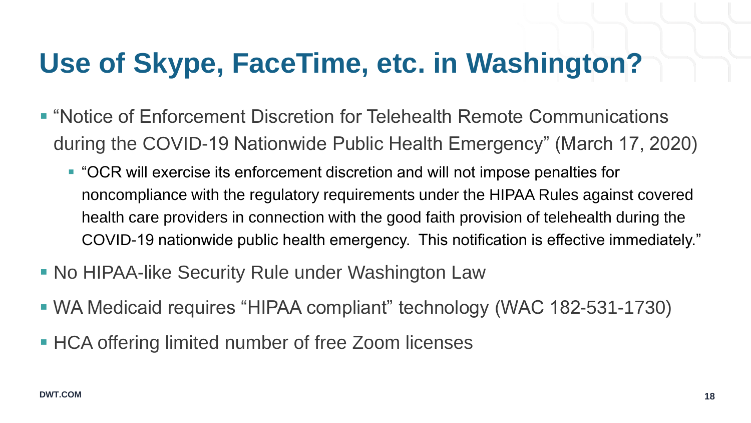## **Use of Skype, FaceTime, etc. in Washington?**

- "Notice of Enforcement Discretion for Telehealth Remote Communications during the COVID-19 Nationwide Public Health Emergency" (March 17, 2020)
	- "OCR will exercise its enforcement discretion and will not impose penalties for noncompliance with the regulatory requirements under the HIPAA Rules against covered health care providers in connection with the good faith provision of telehealth during the COVID-19 nationwide public health emergency. This notification is effective immediately."
- **No HIPAA-like Security Rule under Washington Law**
- WA Medicaid requires "HIPAA compliant" technology (WAC 182-531-1730)
- **HCA offering limited number of free Zoom licenses**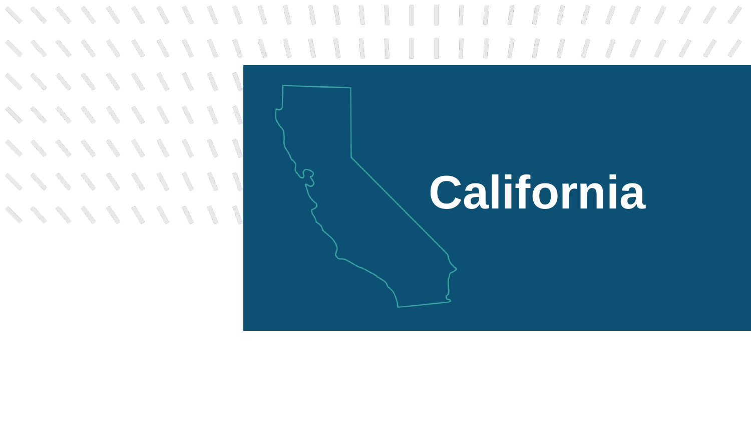# **California**

**×××××××××××** 

**××××××××××** 

**×××××××××** 

**×××××××××** 

**××××××××××**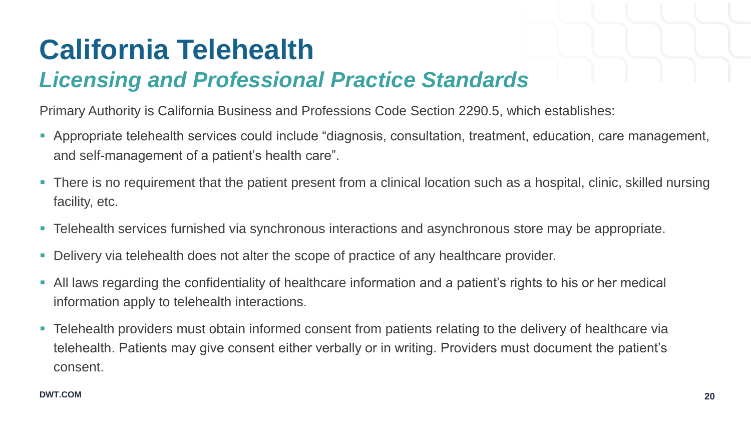### *Licensing and Professional Practice Standards*

Primary Authority is California Business and Professions Code Section 2290.5, which establishes:

- Appropriate telehealth services could include "diagnosis, consultation, treatment, education, care management, and self-management of a patient's health care".
- There is no requirement that the patient present from a clinical location such as a hospital, clinic, skilled nursing facility, etc.
- Telehealth services furnished via synchronous interactions and asynchronous store may be appropriate.
- Delivery via telehealth does not alter the scope of practice of any healthcare provider.
- All laws regarding the confidentiality of healthcare information and a patient's rights to his or her medical information apply to telehealth interactions.
- Telehealth providers must obtain informed consent from patients relating to the delivery of healthcare via telehealth. Patients may give consent either verbally or in writing. Providers must document the patient's consent.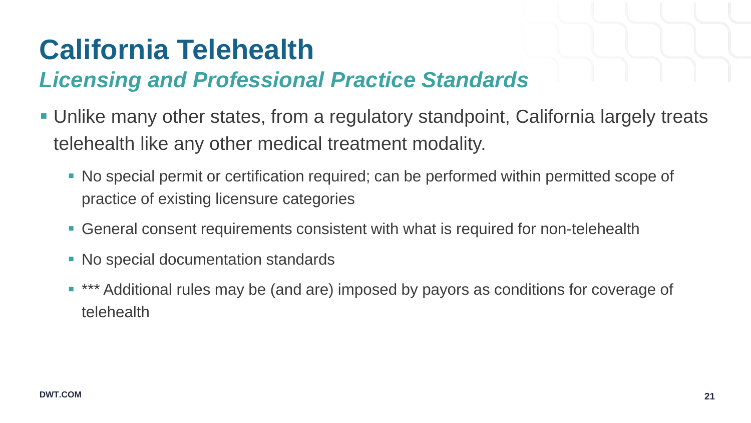### *Licensing and Professional Practice Standards*

- Unlike many other states, from a regulatory standpoint, California largely treats telehealth like any other medical treatment modality.
	- No special permit or certification required; can be performed within permitted scope of practice of existing licensure categories
	- General consent requirements consistent with what is required for non-telehealth
	- No special documentation standards
	- \*\*\* Additional rules may be (and are) imposed by payors as conditions for coverage of telehealth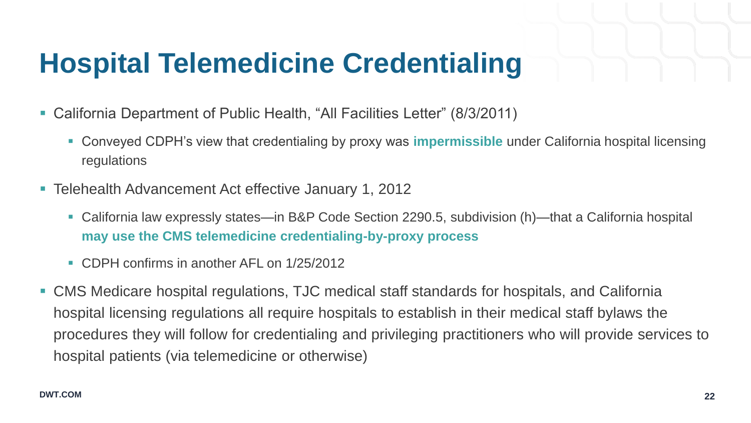## **Hospital Telemedicine Credentialing**

- California Department of Public Health, "All Facilities Letter" (8/3/2011)
	- Conveyed CDPH's view that credentialing by proxy was **impermissible** under California hospital licensing regulations
- Telehealth Advancement Act effective January 1, 2012
	- California law expressly states—in B&P Code Section 2290.5, subdivision (h)—that a California hospital **may use the CMS telemedicine credentialing-by-proxy process**
	- CDPH confirms in another AFL on 1/25/2012
- CMS Medicare hospital regulations, TJC medical staff standards for hospitals, and California hospital licensing regulations all require hospitals to establish in their medical staff bylaws the procedures they will follow for credentialing and privileging practitioners who will provide services to hospital patients (via telemedicine or otherwise)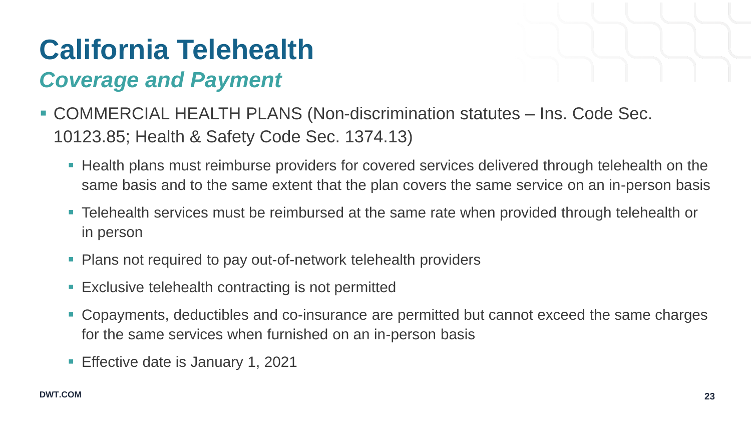- COMMERCIAL HEALTH PLANS (Non-discrimination statutes Ins. Code Sec. 10123.85; Health & Safety Code Sec. 1374.13)
	- **Health plans must reimburse providers for covered services delivered through telehealth on the** same basis and to the same extent that the plan covers the same service on an in-person basis
	- Telehealth services must be reimbursed at the same rate when provided through telehealth or in person
	- Plans not required to pay out-of-network telehealth providers
	- **Exclusive telehealth contracting is not permitted**
	- Copayments, deductibles and co-insurance are permitted but cannot exceed the same charges for the same services when furnished on an in-person basis
	- **Effective date is January 1, 2021**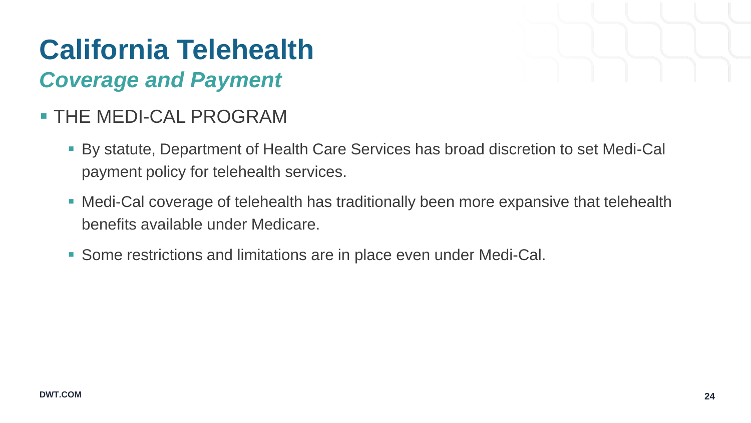### *Coverage and Payment*

### THE MEDI-CAL PROGRAM

- By statute, Department of Health Care Services has broad discretion to set Medi-Cal payment policy for telehealth services.
- Medi-Cal coverage of telehealth has traditionally been more expansive that telehealth benefits available under Medicare.
- Some restrictions and limitations are in place even under Medi-Cal.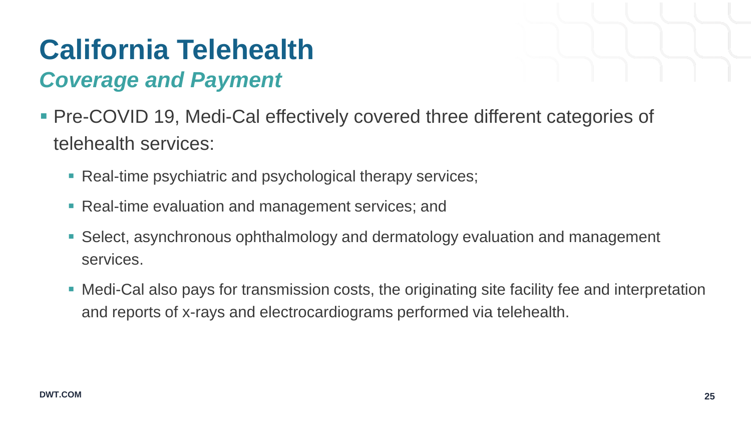- Pre-COVID 19, Medi-Cal effectively covered three different categories of telehealth services:
	- Real-time psychiatric and psychological therapy services;
	- **Real-time evaluation and management services; and**
	- Select, asynchronous ophthalmology and dermatology evaluation and management services.
	- Medi-Cal also pays for transmission costs, the originating site facility fee and interpretation and reports of x-rays and electrocardiograms performed via telehealth.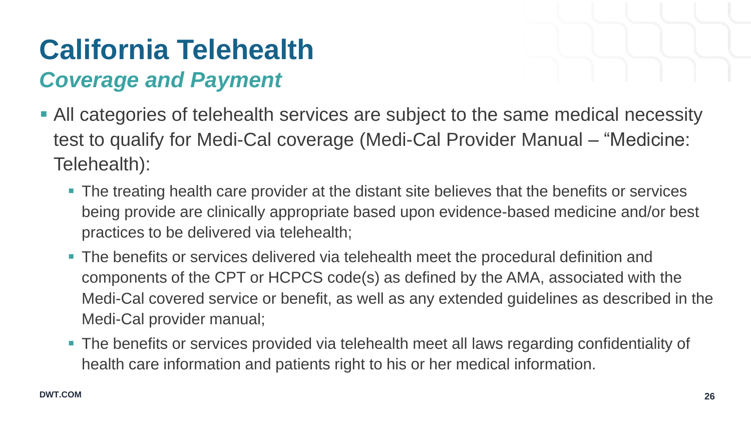- All categories of telehealth services are subject to the same medical necessity test to qualify for Medi-Cal coverage (Medi-Cal Provider Manual – "Medicine: Telehealth):
	- **The treating health care provider at the distant site believes that the benefits or services** being provide are clinically appropriate based upon evidence-based medicine and/or best practices to be delivered via telehealth;
	- The benefits or services delivered via telehealth meet the procedural definition and components of the CPT or HCPCS code(s) as defined by the AMA, associated with the Medi-Cal covered service or benefit, as well as any extended guidelines as described in the Medi-Cal provider manual;
	- The benefits or services provided via telehealth meet all laws regarding confidentiality of health care information and patients right to his or her medical information.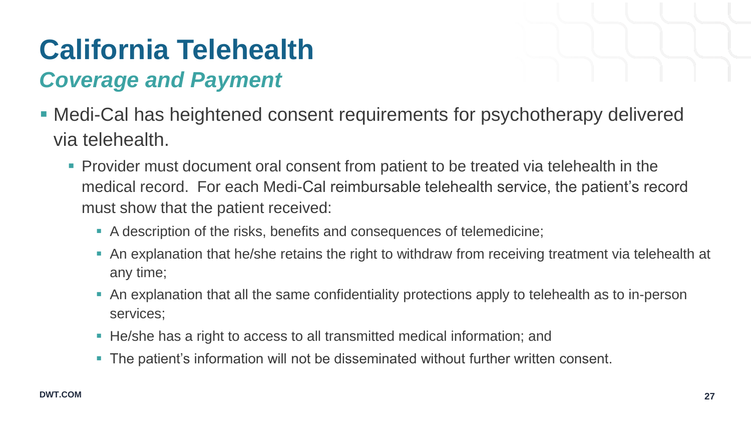- Medi-Cal has heightened consent requirements for psychotherapy delivered via telehealth.
	- Provider must document oral consent from patient to be treated via telehealth in the medical record. For each Medi-Cal reimbursable telehealth service, the patient's record must show that the patient received:
		- A description of the risks, benefits and consequences of telemedicine;
		- An explanation that he/she retains the right to withdraw from receiving treatment via telehealth at any time;
		- An explanation that all the same confidentiality protections apply to telehealth as to in-person services;
		- He/she has a right to access to all transmitted medical information; and
		- The patient's information will not be disseminated without further written consent.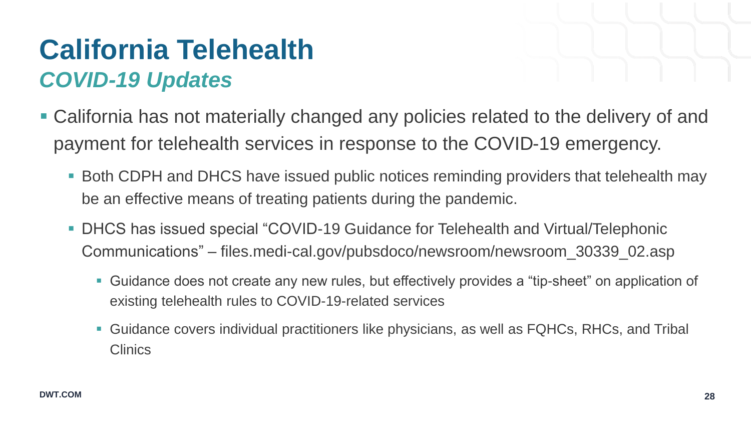### **California Telehealth** *COVID-19 Updates*

- 
- California has not materially changed any policies related to the delivery of and payment for telehealth services in response to the COVID-19 emergency.
	- Both CDPH and DHCS have issued public notices reminding providers that telehealth may be an effective means of treating patients during the pandemic.
	- DHCS has issued special "COVID-19 Guidance for Telehealth and Virtual/Telephonic Communications" – files.medi-cal.gov/pubsdoco/newsroom/newsroom\_30339\_02.asp
		- Guidance does not create any new rules, but effectively provides a "tip-sheet" on application of existing telehealth rules to COVID-19-related services
		- Guidance covers individual practitioners like physicians, as well as FQHCs, RHCs, and Tribal **Clinics**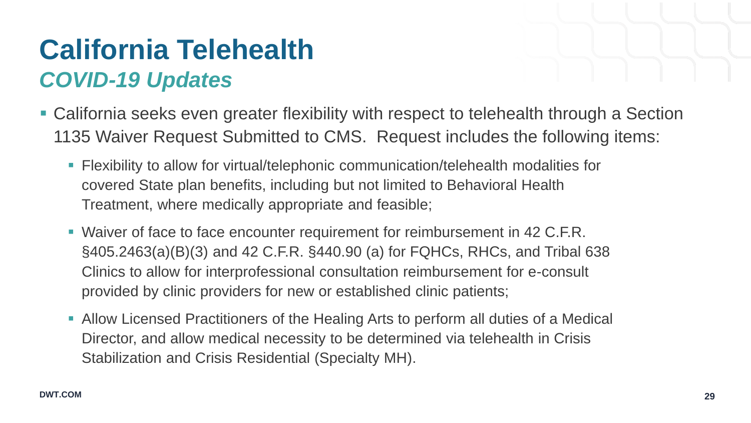### **California Telehealth** *COVID-19 Updates*

- California seeks even greater flexibility with respect to telehealth through a Section 1135 Waiver Request Submitted to CMS. Request includes the following items:
	- Flexibility to allow for virtual/telephonic communication/telehealth modalities for covered State plan benefits, including but not limited to Behavioral Health Treatment, where medically appropriate and feasible;
	- Waiver of face to face encounter requirement for reimbursement in 42 C.F.R. §405.2463(a)(B)(3) and 42 C.F.R. §440.90 (a) for FQHCs, RHCs, and Tribal 638 Clinics to allow for interprofessional consultation reimbursement for e-consult provided by clinic providers for new or established clinic patients;
	- Allow Licensed Practitioners of the Healing Arts to perform all duties of a Medical Director, and allow medical necessity to be determined via telehealth in Crisis Stabilization and Crisis Residential (Specialty MH).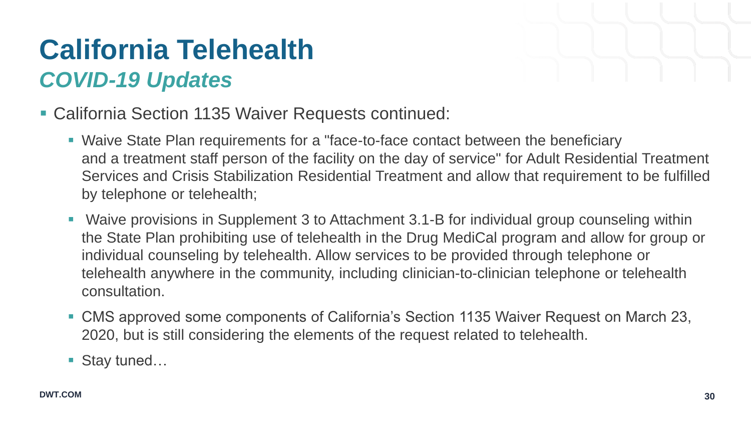### **California Telehealth** *COVID-19 Updates*



- California Section 1135 Waiver Requests continued:
	- Waive State Plan requirements for a "face-to-face contact between the beneficiary and a treatment staff person of the facility on the day of service" for Adult Residential Treatment Services and Crisis Stabilization Residential Treatment and allow that requirement to be fulfilled by telephone or telehealth;
	- Waive provisions in Supplement 3 to Attachment 3.1-B for individual group counseling within the State Plan prohibiting use of telehealth in the Drug MediCal program and allow for group or individual counseling by telehealth. Allow services to be provided through telephone or telehealth anywhere in the community, including clinician-to-clinician telephone or telehealth consultation.
	- CMS approved some components of California's Section 1135 Waiver Request on March 23, 2020, but is still considering the elements of the request related to telehealth.
	- Stay tuned...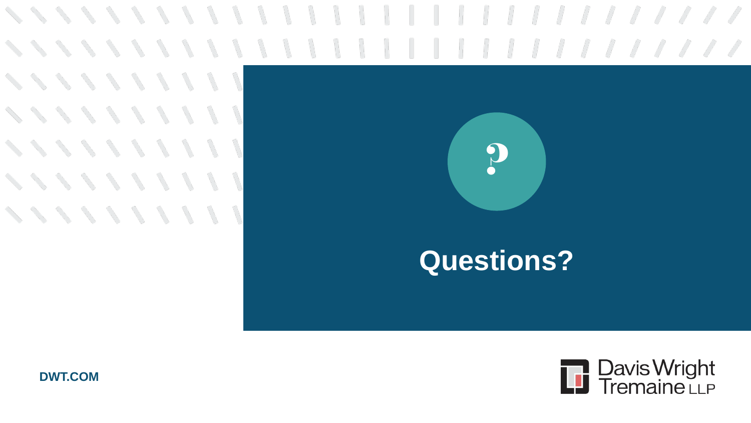**ベベベ メ メ メ メ メ ノ** ハ **××××××××× ××××××××× ×××××××××** ベベベメメメリン



### **Questions?**



**DWT.COM**